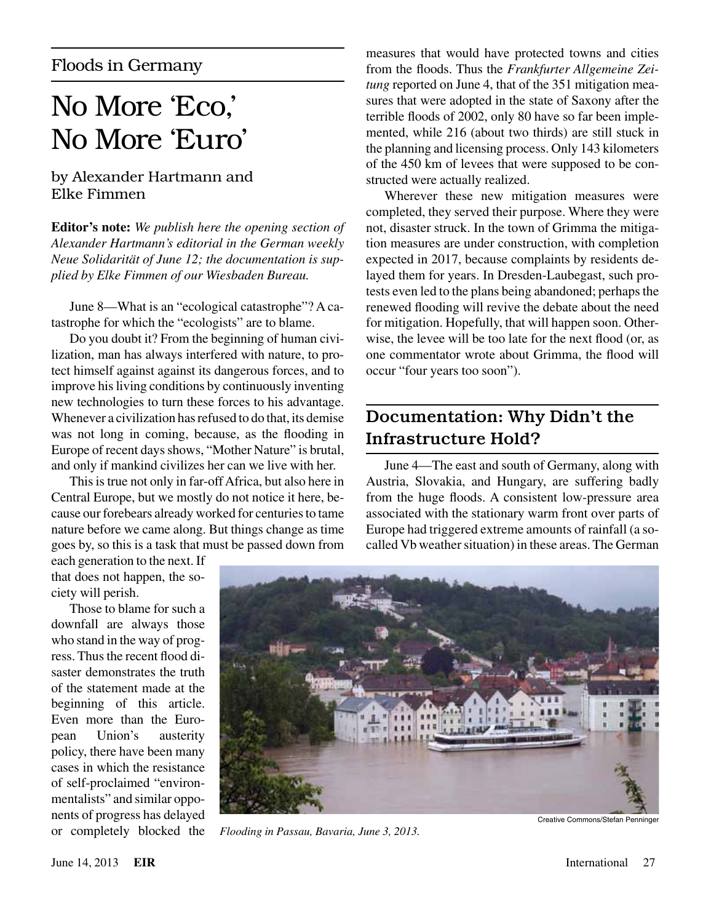## No More 'Eco,' No More 'Euro'

## by Alexander Hartmann and Elke Fimmen

**Editor's note:** *We publish here the opening section of Alexander Hartmann's editorial in the German weekly Neue Solidarität of June 12; the documentation is supplied by Elke Fimmen of our Wiesbaden Bureau.*

June 8—What is an "ecological catastrophe"? A catastrophe for which the "ecologists" are to blame.

Do you doubt it? From the beginning of human civilization, man has always interfered with nature, to protect himself against against its dangerous forces, and to improve his living conditions by continuously inventing new technologies to turn these forces to his advantage. Whenever a civilization has refused to do that, its demise was not long in coming, because, as the flooding in Europe of recent days shows, "Mother Nature" is brutal, and only if mankind civilizes her can we live with her.

This is true not only in far-off Africa, but also here in Central Europe, but we mostly do not notice it here, because our forebears already worked for centuries to tame nature before we came along. But things change as time goes by, so this is a task that must be passed down from

each generation to the next. If that does not happen, the society will perish.

Those to blame for such a downfall are always those who stand in the way of progress. Thus the recent flood disaster demonstrates the truth of the statement made at the beginning of this article. Even more than the European Union's austerity policy, there have been many cases in which the resistance of self-proclaimed "environmentalists" and similar opponents of progress has delayed or completely blocked the

measures that would have protected towns and cities from the floods. Thus the *Frankfurter Allgemeine Zeitung* reported on June 4, that of the 351 mitigation measures that were adopted in the state of Saxony after the terrible floods of 2002, only 80 have so far been implemented, while 216 (about two thirds) are still stuck in the planning and licensing process. Only 143 kilometers of the 450 km of levees that were supposed to be constructed were actually realized.

Wherever these new mitigation measures were completed, they served their purpose. Where they were not, disaster struck. In the town of Grimma the mitigation measures are under construction, with completion expected in 2017, because complaints by residents delayed them for years. In Dresden-Laubegast, such protests even led to the plans being abandoned; perhaps the renewed flooding will revive the debate about the need for mitigation. Hopefully, that will happen soon. Otherwise, the levee will be too late for the next flood (or, as one commentator wrote about Grimma, the flood will occur "four years too soon").

## Documentation: Why Didn't the Infrastructure Hold?

June 4—The east and south of Germany, along with Austria, Slovakia, and Hungary, are suffering badly from the huge floods. A consistent low-pressure area associated with the stationary warm front over parts of Europe had triggered extreme amounts of rainfall (a socalled Vb weather situation) in these areas. The German



*Flooding in Passau, Bavaria, June 3, 2013.*

Creative Commons/Stefan Penninger